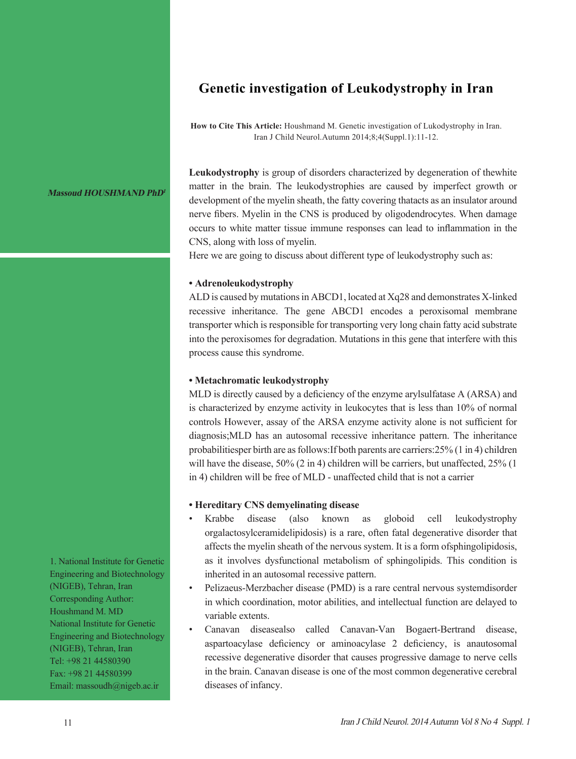## **Genetic investigation of Leukodystrophy in Iran**

**How to Cite This Article:** Houshmand M. Genetic investigation of Lukodystrophy in Iran. Iran J Child Neurol.Autumn 2014;8;4(Suppl.1):11-12.

**Leukodystrophy** is group of disorders characterized by degeneration of thewhite matter in the brain. The leukodystrophies are caused by imperfect growth or development of the myelin sheath, the fatty covering thatacts as an insulator around nerve fibers. Myelin in the CNS is produced by oligodendrocytes. When damage occurs to white matter tissue immune responses can lead to inflammation in the CNS, along with loss of myelin.

Here we are going to discuss about different type of leukodystrophy such as:

## **• Adrenoleukodystrophy**

ALD is caused by mutations in ABCD1, located at Xq28 and demonstrates X-linked recessive inheritance. The gene ABCD1 encodes a peroxisomal membrane transporter which is responsible for transporting very long chain fatty acid substrate into the peroxisomes for degradation. Mutations in this gene that interfere with this process cause this syndrome.

## **• Metachromatic leukodystrophy**

MLD is directly caused by a deficiency of the enzyme arylsulfatase A (ARSA) and is characterized by enzyme activity in leukocytes that is less than 10% of normal controls However, assay of the ARSA enzyme activity alone is not sufficient for diagnosis;MLD has an autosomal recessive inheritance pattern. The inheritance probabilitiesper birth are as follows:If both parents are carriers:25% (1 in 4) children will have the disease, 50% (2 in 4) children will be carriers, but unaffected, 25% (1) in 4) children will be free of MLD - unaffected child that is not a carrier

## **• Hereditary CNS demyelinating disease**

- Krabbe disease (also known as globoid cell leukodystrophy orgalactosylceramidelipidosis) is a rare, often fatal degenerative disorder that affects the myelin sheath of the nervous system. It is a form ofsphingolipidosis, as it involves dysfunctional metabolism of sphingolipids. This condition is inherited in an autosomal recessive pattern.
- Pelizaeus-Merzbacher disease (PMD) is a rare central nervous systemdisorder in which coordination, motor abilities, and intellectual function are delayed to variable extents.
- Canavan diseasealso called Canavan-Van Bogaert-Bertrand disease, aspartoacylase deficiency or aminoacylase 2 deficiency, is anautosomal recessive degenerative disorder that causes progressive damage to nerve cells in the brain. Canavan disease is one of the most common degenerative cerebral diseases of infancy.

1. National Institute for Genetic Engineering and Biotechnology (NIGEB), Tehran, Iran Corresponding Author: Houshmand M. MD National Institute for Genetic Engineering and Biotechnology (NIGEB), Tehran, Iran Tel: +98 21 44580390 Fax: +98 21 44580399 Email: massoudh@nigeb.ac.ir

**Massoud HOUSHMAND PhD<sup>1</sup>**